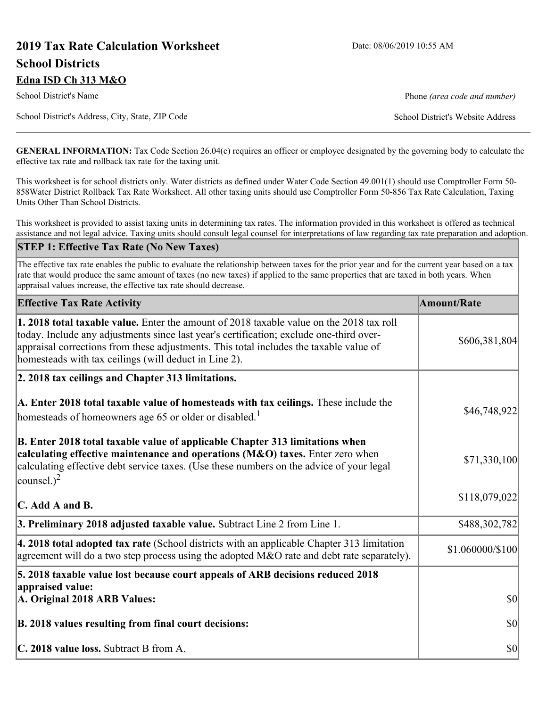# **2019 Tax Rate Calculation Worksheet** Date: 08/06/2019 10:55 AM **School Districts Edna ISD Ch 313 M&O**

School District's Name **Phone** *(area code and number)* Phone *(area code and number)* 

School District's Address, City, State, ZIP Code School District's Website Address

**GENERAL INFORMATION:** Tax Code Section 26.04(c) requires an officer or employee designated by the governing body to calculate the effective tax rate and rollback tax rate for the taxing unit.

This worksheet is for school districts only. Water districts as defined under Water Code Section 49.001(1) should use Comptroller Form 50- 858Water District Rollback Tax Rate Worksheet. All other taxing units should use Comptroller Form 50-856 Tax Rate Calculation, Taxing Units Other Than School Districts.

This worksheet is provided to assist taxing units in determining tax rates. The information provided in this worksheet is offered as technical assistance and not legal advice. Taxing units should consult legal counsel for interpretations of law regarding tax rate preparation and adoption.

#### **STEP 1: Effective Tax Rate (No New Taxes)**

The effective tax rate enables the public to evaluate the relationship between taxes for the prior year and for the current year based on a tax rate that would produce the same amount of taxes (no new taxes) if applied to the same properties that are taxed in both years. When appraisal values increase, the effective tax rate should decrease.

| <b>Effective Tax Rate Activity</b>                                                                                                                                                                                                                                                                                                     | <b>Amount/Rate</b>     |
|----------------------------------------------------------------------------------------------------------------------------------------------------------------------------------------------------------------------------------------------------------------------------------------------------------------------------------------|------------------------|
| 1. 2018 total taxable value. Enter the amount of 2018 taxable value on the 2018 tax roll<br>today. Include any adjustments since last year's certification; exclude one-third over-<br>appraisal corrections from these adjustments. This total includes the taxable value of<br>homesteads with tax ceilings (will deduct in Line 2). | \$606,381,804          |
| 2. 2018 tax ceilings and Chapter 313 limitations.                                                                                                                                                                                                                                                                                      |                        |
| A. Enter 2018 total taxable value of homesteads with tax ceilings. These include the<br>homesteads of homeowners age 65 or older or disabled. <sup>1</sup>                                                                                                                                                                             | \$46,748,922           |
| B. Enter 2018 total taxable value of applicable Chapter 313 limitations when<br>calculating effective maintenance and operations (M&O) taxes. Enter zero when<br>calculating effective debt service taxes. (Use these numbers on the advice of your legal<br>counsel.) <sup>2</sup>                                                    | \$71,330,100           |
| $\mathbf C$ . Add A and B.                                                                                                                                                                                                                                                                                                             | \$118,079,022          |
| 3. Preliminary 2018 adjusted taxable value. Subtract Line 2 from Line 1.                                                                                                                                                                                                                                                               | \$488,302,782          |
| 4. 2018 total adopted tax rate (School districts with an applicable Chapter 313 limitation<br>agreement will do a two step process using the adopted M&O rate and debt rate separately).                                                                                                                                               | $$1.060000 \times 100$ |
| 5. 2018 taxable value lost because court appeals of ARB decisions reduced 2018<br>appraised value:                                                                                                                                                                                                                                     |                        |
| A. Original 2018 ARB Values:                                                                                                                                                                                                                                                                                                           | $ 10\rangle$           |
| B. 2018 values resulting from final court decisions:                                                                                                                                                                                                                                                                                   | $ 10\rangle$           |
| C. 2018 value loss. Subtract B from A.                                                                                                                                                                                                                                                                                                 | $ 10\rangle$           |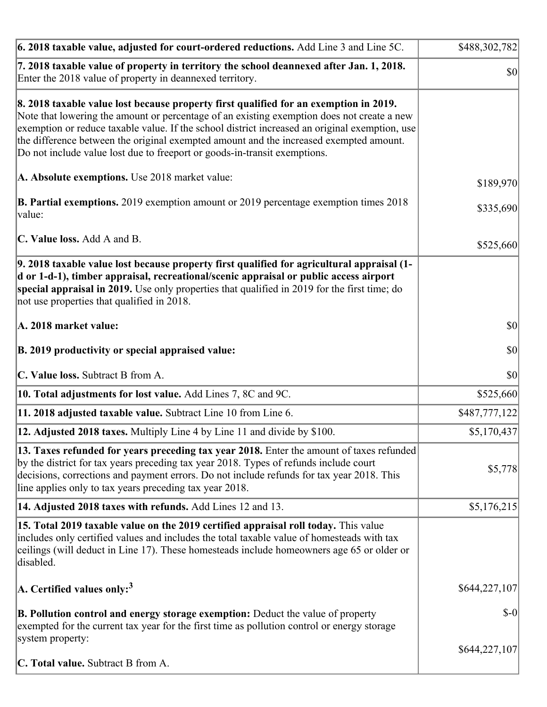| $\vert$ 6. 2018 taxable value, adjusted for court-ordered reductions. Add Line 3 and Line 5C.                                                                                                                                                                                                                                                                                                                                                                | \$488,302,782 |
|--------------------------------------------------------------------------------------------------------------------------------------------------------------------------------------------------------------------------------------------------------------------------------------------------------------------------------------------------------------------------------------------------------------------------------------------------------------|---------------|
| 7. 2018 taxable value of property in territory the school deannexed after Jan. 1, 2018.<br>Enter the 2018 value of property in deannexed territory.                                                                                                                                                                                                                                                                                                          | \$0           |
| 8. 2018 taxable value lost because property first qualified for an exemption in 2019.<br>Note that lowering the amount or percentage of an existing exemption does not create a new<br>exemption or reduce taxable value. If the school district increased an original exemption, use<br>the difference between the original exempted amount and the increased exempted amount.<br>Do not include value lost due to freeport or goods-in-transit exemptions. |               |
| A. Absolute exemptions. Use 2018 market value:                                                                                                                                                                                                                                                                                                                                                                                                               | \$189,970     |
| <b>B. Partial exemptions.</b> 2019 exemption amount or 2019 percentage exemption times 2018<br>value:                                                                                                                                                                                                                                                                                                                                                        | \$335,690     |
| C. Value loss. Add A and B.                                                                                                                                                                                                                                                                                                                                                                                                                                  | \$525,660     |
| 9. 2018 taxable value lost because property first qualified for agricultural appraisal (1-<br>d or 1-d-1), timber appraisal, recreational/scenic appraisal or public access airport<br>special appraisal in 2019. Use only properties that qualified in 2019 for the first time; do<br>not use properties that qualified in 2018.                                                                                                                            |               |
| A. 2018 market value:                                                                                                                                                                                                                                                                                                                                                                                                                                        | $ 10\rangle$  |
| B. 2019 productivity or special appraised value:                                                                                                                                                                                                                                                                                                                                                                                                             | \$0           |
| C. Value loss. Subtract B from A.                                                                                                                                                                                                                                                                                                                                                                                                                            | $ 10\rangle$  |
| 10. Total adjustments for lost value. Add Lines 7, 8C and 9C.                                                                                                                                                                                                                                                                                                                                                                                                | \$525,660     |
| 11. 2018 adjusted taxable value. Subtract Line 10 from Line 6.                                                                                                                                                                                                                                                                                                                                                                                               | \$487,777,122 |
| 12. Adjusted 2018 taxes. Multiply Line 4 by Line 11 and divide by \$100.                                                                                                                                                                                                                                                                                                                                                                                     | \$5,170,437   |
| 13. Taxes refunded for years preceding tax year 2018. Enter the amount of taxes refunded<br>by the district for tax years preceding tax year 2018. Types of refunds include court<br>decisions, corrections and payment errors. Do not include refunds for tax year 2018. This<br>line applies only to tax years preceding tax year 2018.                                                                                                                    | \$5,778       |
| 14. Adjusted 2018 taxes with refunds. Add Lines 12 and 13.                                                                                                                                                                                                                                                                                                                                                                                                   | \$5,176,215   |
| 15. Total 2019 taxable value on the 2019 certified appraisal roll today. This value<br>includes only certified values and includes the total taxable value of homesteads with tax<br>ceilings (will deduct in Line 17). These homesteads include homeowners age 65 or older or<br>disabled.                                                                                                                                                                  |               |
| A. Certified values only: <sup>3</sup>                                                                                                                                                                                                                                                                                                                                                                                                                       | \$644,227,107 |
| <b>B. Pollution control and energy storage exemption:</b> Deduct the value of property<br>exempted for the current tax year for the first time as pollution control or energy storage<br>system property:                                                                                                                                                                                                                                                    | $$-0$         |
| <b>C. Total value.</b> Subtract B from A.                                                                                                                                                                                                                                                                                                                                                                                                                    | \$644,227,107 |
|                                                                                                                                                                                                                                                                                                                                                                                                                                                              |               |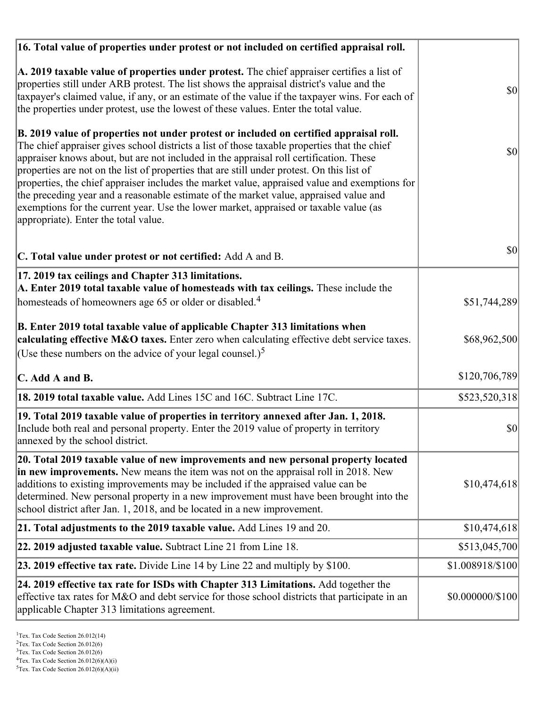| 16. Total value of properties under protest or not included on certified appraisal roll.                                                                                                                                                                                                                                                                                                                                                                                                                                                                                                                                                                                                                  |                  |  |
|-----------------------------------------------------------------------------------------------------------------------------------------------------------------------------------------------------------------------------------------------------------------------------------------------------------------------------------------------------------------------------------------------------------------------------------------------------------------------------------------------------------------------------------------------------------------------------------------------------------------------------------------------------------------------------------------------------------|------------------|--|
| A. 2019 taxable value of properties under protest. The chief appraiser certifies a list of<br>properties still under ARB protest. The list shows the appraisal district's value and the<br>taxpayer's claimed value, if any, or an estimate of the value if the taxpayer wins. For each of<br>the properties under protest, use the lowest of these values. Enter the total value.                                                                                                                                                                                                                                                                                                                        | <b>\$0</b>       |  |
| B. 2019 value of properties not under protest or included on certified appraisal roll.<br>The chief appraiser gives school districts a list of those taxable properties that the chief<br>appraiser knows about, but are not included in the appraisal roll certification. These<br>properties are not on the list of properties that are still under protest. On this list of<br>properties, the chief appraiser includes the market value, appraised value and exemptions for<br>the preceding year and a reasonable estimate of the market value, appraised value and<br>exemptions for the current year. Use the lower market, appraised or taxable value (as<br>appropriate). Enter the total value. | $ 10\rangle$     |  |
| C. Total value under protest or not certified: Add A and B.                                                                                                                                                                                                                                                                                                                                                                                                                                                                                                                                                                                                                                               | <b>\$0</b>       |  |
| 17. 2019 tax ceilings and Chapter 313 limitations.<br>A. Enter 2019 total taxable value of homesteads with tax ceilings. These include the<br>homesteads of homeowners age 65 or older or disabled. <sup>4</sup>                                                                                                                                                                                                                                                                                                                                                                                                                                                                                          | \$51,744,289     |  |
|                                                                                                                                                                                                                                                                                                                                                                                                                                                                                                                                                                                                                                                                                                           |                  |  |
| B. Enter 2019 total taxable value of applicable Chapter 313 limitations when<br>calculating effective M&O taxes. Enter zero when calculating effective debt service taxes.<br>(Use these numbers on the advice of your legal counsel.) <sup>5</sup>                                                                                                                                                                                                                                                                                                                                                                                                                                                       | \$68,962,500     |  |
| C. Add A and B.                                                                                                                                                                                                                                                                                                                                                                                                                                                                                                                                                                                                                                                                                           | \$120,706,789    |  |
| 18. 2019 total taxable value. Add Lines 15C and 16C. Subtract Line 17C.                                                                                                                                                                                                                                                                                                                                                                                                                                                                                                                                                                                                                                   | \$523,520,318    |  |
| 19. Total 2019 taxable value of properties in territory annexed after Jan. 1, 2018.<br>Include both real and personal property. Enter the 2019 value of property in territory<br>annexed by the school district.                                                                                                                                                                                                                                                                                                                                                                                                                                                                                          | \$0              |  |
| 20. Total 2019 taxable value of new improvements and new personal property located<br>in new improvements. New means the item was not on the appraisal roll in 2018. New<br>additions to existing improvements may be included if the appraised value can be<br>determined. New personal property in a new improvement must have been brought into the<br>school district after Jan. 1, 2018, and be located in a new improvement.                                                                                                                                                                                                                                                                        | \$10,474,618     |  |
| 21. Total adjustments to the 2019 taxable value. Add Lines 19 and 20.                                                                                                                                                                                                                                                                                                                                                                                                                                                                                                                                                                                                                                     | \$10,474,618     |  |
| 22. 2019 adjusted taxable value. Subtract Line 21 from Line 18.                                                                                                                                                                                                                                                                                                                                                                                                                                                                                                                                                                                                                                           | \$513,045,700    |  |
| <b>23. 2019 effective tax rate.</b> Divide Line 14 by Line 22 and multiply by \$100.                                                                                                                                                                                                                                                                                                                                                                                                                                                                                                                                                                                                                      | \$1.008918/\$100 |  |
| 24. 2019 effective tax rate for ISDs with Chapter 313 Limitations. Add together the<br>effective tax rates for M&O and debt service for those school districts that participate in an<br>applicable Chapter 313 limitations agreement.                                                                                                                                                                                                                                                                                                                                                                                                                                                                    | \$0.000000/\$100 |  |

<sup>3</sup>Tex. Tax Code Section 26.012(6)

 $2$ Tex. Tax Code Section 26.012(6)

 ${}^{4}$ Tex. Tax Code Section 26.012(6)(A)(i)

 $5$ Tex. Tax Code Section 26.012(6)(A)(ii)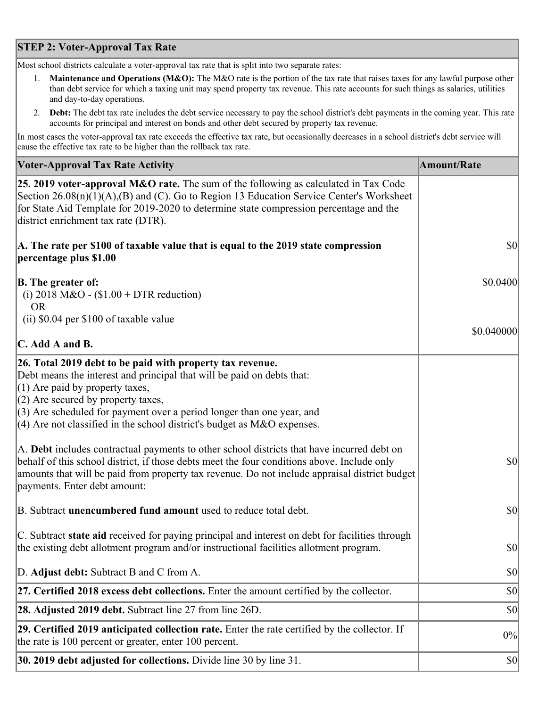## **STEP 2: Voter-Approval Tax Rate**

Most school districts calculate a voter-approval tax rate that is split into two separate rates:

- 1. **Maintenance and Operations (M&O):** The M&O rate is the portion of the tax rate that raises taxes for any lawful purpose other than debt service for which a taxing unit may spend property tax revenue. This rate accounts for such things as salaries, utilities and day-to-day operations.
- 2. **Debt:** The debt tax rate includes the debt service necessary to pay the school district's debt payments in the coming year. This rate accounts for principal and interest on bonds and other debt secured by property tax revenue.

In most cases the voter-approval tax rate exceeds the effective tax rate, but occasionally decreases in a school district's debt service will cause the effective tax rate to be higher than the rollback tax rate.

| <b>Voter-Approval Tax Rate Activity</b>                                                                                                                                                                                                                                                                                      | <b>Amount/Rate</b> |
|------------------------------------------------------------------------------------------------------------------------------------------------------------------------------------------------------------------------------------------------------------------------------------------------------------------------------|--------------------|
| <b>25. 2019 voter-approval M&amp;O rate.</b> The sum of the following as calculated in Tax Code<br>Section 26.08(n)(1)(A),(B) and (C). Go to Region 13 Education Service Center's Worksheet<br>for State Aid Template for 2019-2020 to determine state compression percentage and the<br>district enrichment tax rate (DTR). |                    |
| A. The rate per \$100 of taxable value that is equal to the 2019 state compression<br>percentage plus \$1.00                                                                                                                                                                                                                 | \$0                |
| <b>B.</b> The greater of:<br>(i) 2018 M&O - $$1.00 + DTR$ reduction)<br><b>OR</b>                                                                                                                                                                                                                                            | \$0.0400           |
| (ii) \$0.04 per \$100 of taxable value                                                                                                                                                                                                                                                                                       |                    |
| $\mathbf C$ . Add A and B.                                                                                                                                                                                                                                                                                                   | \$0.040000         |
| 26. Total 2019 debt to be paid with property tax revenue.<br>Debt means the interest and principal that will be paid on debts that:<br>$(1)$ Are paid by property taxes,<br>$(2)$ Are secured by property taxes,<br>$(3)$ Are scheduled for payment over a period longer than one year, and                                  |                    |
| $(4)$ Are not classified in the school district's budget as M&O expenses.                                                                                                                                                                                                                                                    |                    |
| A. Debt includes contractual payments to other school districts that have incurred debt on<br>behalf of this school district, if those debts meet the four conditions above. Include only<br>amounts that will be paid from property tax revenue. Do not include appraisal district budget<br>payments. Enter debt amount:   | 30                 |
| B. Subtract <b>unencumbered fund amount</b> used to reduce total debt.                                                                                                                                                                                                                                                       | $ 10\rangle$       |
| C. Subtract state aid received for paying principal and interest on debt for facilities through<br>the existing debt allotment program and/or instructional facilities allotment program.                                                                                                                                    | \$0                |
| D. Adjust debt: Subtract B and C from A.                                                                                                                                                                                                                                                                                     | \$0                |
| 27. Certified 2018 excess debt collections. Enter the amount certified by the collector.                                                                                                                                                                                                                                     | \$0                |
| <b>28. Adjusted 2019 debt.</b> Subtract line 27 from line 26D.                                                                                                                                                                                                                                                               | \$0                |
| 29. Certified 2019 anticipated collection rate. Enter the rate certified by the collector. If<br>the rate is 100 percent or greater, enter 100 percent.                                                                                                                                                                      | 0%                 |
| 30. 2019 debt adjusted for collections. Divide line 30 by line 31.                                                                                                                                                                                                                                                           | $ 10\rangle$       |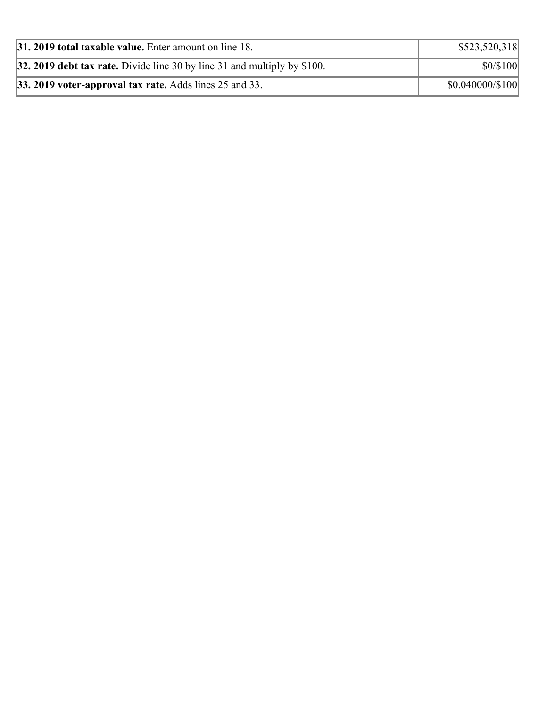| 31. 2019 total taxable value. Enter amount on line 18.                   | \$523,520,318    |
|--------------------------------------------------------------------------|------------------|
| 32. 2019 debt tax rate. Divide line 30 by line 31 and multiply by \$100. | \$0/\$100        |
| $ 33.2019$ voter-approval tax rate. Adds lines 25 and 33.                | \$0.040000/\$100 |